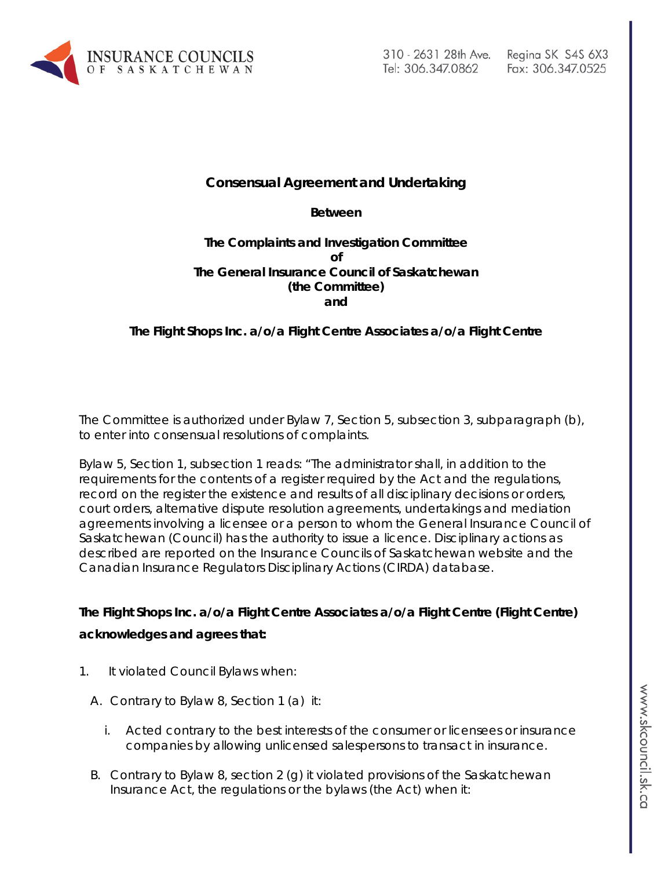

## **Consensual Agreement and Undertaking**

### **Between**

### **The Complaints and Investigation Committee of The General Insurance Council of Saskatchewan (the Committee) and**

## **The Flight Shops Inc. a/o/a Flight Centre Associates a/o/a Flight Centre**

The Committee is authorized under Bylaw 7, Section 5, subsection 3, subparagraph (b), to enter into consensual resolutions of complaints.

Bylaw 5, Section 1, subsection 1 reads: "The administrator shall, in addition to the requirements for the contents of a register required by the Act and the regulations, record on the register the existence and results of all disciplinary decisions or orders, court orders, alternative dispute resolution agreements, undertakings and mediation agreements involving a licensee or a person to whom the General Insurance Council of Saskatchewan (Council) has the authority to issue a licence. Disciplinary actions as described are reported on the Insurance Councils of Saskatchewan website and the Canadian Insurance Regulators Disciplinary Actions (CIRDA) database.

# **The Flight Shops Inc. a/o/a Flight Centre Associates a/o/a Flight Centre (Flight Centre) acknowledges and agrees that:**

- 1. It violated Council Bylaws when:
	- A. Contrary to Bylaw 8, Section 1 (a) it:
		- i. Acted contrary to the best interests of the consumer or licensees or insurance companies by allowing unlicensed salespersons to transact in insurance.
	- B. Contrary to Bylaw 8, section 2 (g) it violated provisions of the Saskatchewan Insurance Act, the regulations or the bylaws (the Act) when it: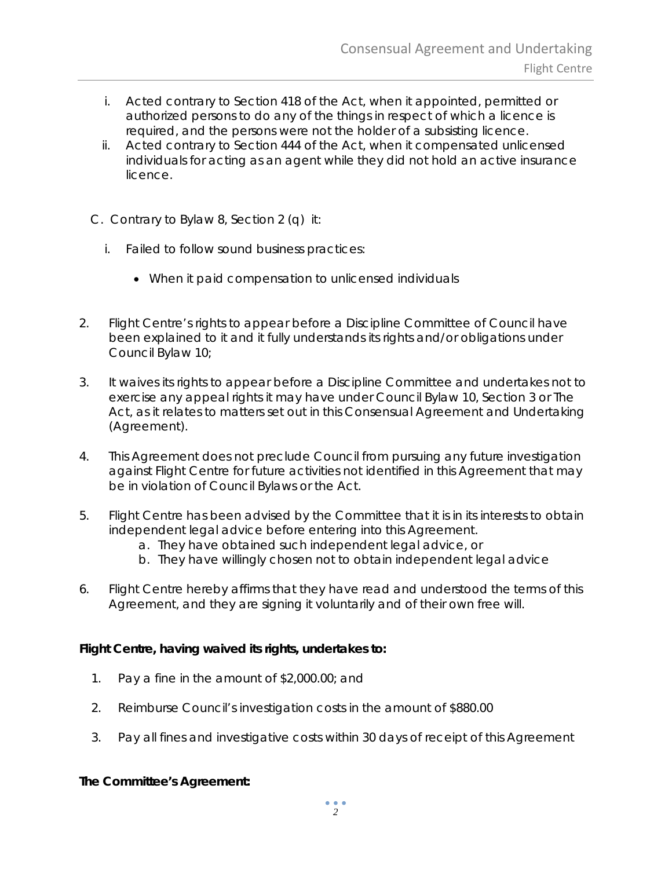- i. Acted contrary to Section 418 of the Act, when it appointed, permitted or authorized persons to do any of the things in respect of which a licence is required, and the persons were not the holder of a subsisting licence.
- ii. Acted contrary to Section 444 of the Act, when it compensated unlicensed individuals for acting as an agent while they did not hold an active insurance licence.
- C. Contrary to Bylaw 8, Section 2 (q) it:
	- i. Failed to follow sound business practices:
		- When it paid compensation to unlicensed individuals
- 2. Flight Centre's rights to appear before a Discipline Committee of Council have been explained to it and it fully understands its rights and/or obligations under Council Bylaw 10;
- 3. It waives its rights to appear before a Discipline Committee and undertakes not to exercise any appeal rights it may have under Council Bylaw 10, Section 3 or The Act*,* as it relates to matters set out in this Consensual Agreement and Undertaking (Agreement).
- 4. This Agreement does not preclude Council from pursuing any future investigation against Flight Centre for future activities not identified in this Agreement that may be in violation of Council Bylaws or the Act.
- 5. Flight Centre has been advised by the Committee that it is in its interests to obtain independent legal advice before entering into this Agreement.
	- a. They have obtained such independent legal advice, or
	- b. They have willingly chosen not to obtain independent legal advice
- 6. Flight Centre hereby affirms that they have read and understood the terms of this Agreement, and they are signing it voluntarily and of their own free will.

## **Flight Centre, having waived its rights, undertakes to:**

- 1. Pay a fine in the amount of \$2,000.00; and
- 2. Reimburse Council's investigation costs in the amount of \$880.00
- 3. Pay all fines and investigative costs within 30 days of receipt of this Agreement

## **The Committee's Agreement:**

 $\bullet$   $\bullet$   $\bullet$ *2*